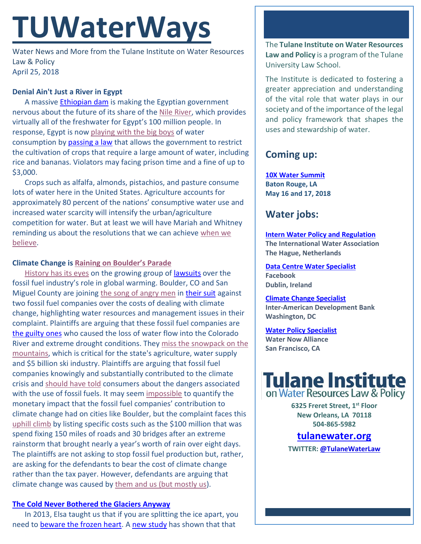# **TUWaterWays**

Water News and More from the Tulane Institute on Water Resources Law & Policy April 25, 2018

## **Denial Ain't Just a River in Egypt**

A massive **Ethiopian dam** is making the Egyptian government nervous about the future of its share of th[e Nile River,](https://youtu.be/l0bM-tYkxTg) which provides virtually all of the freshwater for Egypt's 100 million people. In response, Egypt is now [playing with the big boys](https://youtu.be/xxyOTFQFWQ0) of water consumption by [passing a law](http://abcnews.go.com/International/wireStory/fearing-ethiopian-dam-egypt-bans-water-intensive-crops-54661740) that allows the government to restrict the cultivation of crops that require a large amount of water, including rice and bananas. Violators may facing prison time and a fine of up to \$3,000.

Crops such as alfalfa, almonds, pistachios, and pasture consume lots of water here in the United States. Agriculture accounts for approximately 80 percent of the nations' consumptive water use and increased water scarcity will intensify the urban/agriculture competition for water. But at least we will have Mariah and Whitney reminding us about the resolutions that we can achieve [when we](https://youtu.be/Gur8ccqrQ9c)  [believe.](https://youtu.be/Gur8ccqrQ9c)

## **Climate Change is [Raining on Boulder's Parade](https://youtu.be/aO3Gb5mkwTc)**

[History has its eyes](https://youtu.be/-nmqQlW-sMo) on the growing group o[f lawsuits](https://insideclimatenews.org/news/04042018/climate-change-fossil-fuel-company-lawsuits-timeline-exxon-children-california-cities-attorney-general) over the fossil fuel industry's role in global warming. Boulder, CO and San Miguel County are joining [the song of angry men](https://youtu.be/PUlQNsl4Qvk) in [their suit](https://insideclimatenews.org/news/18042018/colorado-climate-change-city-lawsuit-exxon-suncor-boulder-telluride-wildfire-drought-snowpack-water-supply-agriculture-libertarian) against two fossil fuel companies over the costs of dealing with climate change, highlighting water resources and management issues in their complaint. Plaintiffs are arguing that these fossil fuel companies are [the guilty ones](https://youtu.be/8uCfnx4xb1g) who caused the loss of water flow into the Colorado River and extreme drought conditions. They miss the snowpack on the [mountains,](https://youtu.be/Rt09n4O-OrE) which is critical for the state's agriculture, water supply and \$5 billion ski industry. Plaintiffs are arguing that fossil fuel companies knowingly and substantially contributed to the climate crisis and [should have told](https://youtu.be/yBixCiQ6uJo) consumers about the dangers associated with the use of fossil fuels. It may seem [impossible](https://youtu.be/dd0fuaD-OwE) to quantify the monetary impact that the fossil fuel companies' contribution to climate change had on cities like Boulder, but the complaint faces this [uphill climb](https://youtu.be/cUve0ruUxBw) by listing specific costs such as the \$100 million that was spend fixing 150 miles of roads and 30 bridges after an extreme rainstorm that brought nearly a year's worth of rain over eight days. The plaintiffs are not asking to stop fossil fuel production but, rather, are asking for the defendants to bear the cost of climate change rather than the tax payer. However, defendants are arguing that climate change was caused by [them and us \(but mostly us\)](https://youtu.be/njHiUggTjRo).

## **[The Cold Never Bothered the Glaciers Anyway](https://youtu.be/L0MK7qz13bU)**

In 2013, Elsa taught us that if you are splitting the ice apart, you need to [beware the frozen heart.](https://youtu.be/1TXc2JbCjmw) A [new study](http://advances.sciencemag.org/content/4/4/eaap9467) has shown that that

The **Tulane Institute on Water Resources Law and Policy** is a program of the Tulane University Law School.

The Institute is dedicated to fostering a greater appreciation and understanding of the vital role that water plays in our society and of the importance of the legal and policy framework that shapes the uses and stewardship of water.

# **Coming up:**

**[10X Water Summit](https://www.10xwatersummit.com/about/) Baton Rouge, LA May 16 and 17, 2018**

# **Water jobs:**

**[Intern Water Policy and Regulation](http://www.iwa-network.org/wp-content/uploads/2018/04/ToR-Intern-Water-Policy-and-Regulation_Feb2018.pdf) The International Water Association The Hague, Netherlands**

**[Data Centre Water Specialist](https://www.facebook.com/careers/jobs/a0I1H00000LJvySUAT/?ref=a8lA00000004CFAIA2) Facebook Dublin, Ireland**

**[Climate Change Specialist](https://iadbcareers.taleo.net/careersection/consulting/jobdetail.ftl?job=452943) Inter-American Development Bank Washington, DC**

#### **[Water Policy Specialist](https://www.idealist.org/en/nonprofit-job/7e47cc795c6e4598aa93a4244ce899b2-waternow-alliance-water-policy-specialist-trust-for-conservation-innovation-san-francisco?) Water Now Alliance**

**San Francisco, CA** 



**6325 Freret Street, 1st Floor New Orleans, LA 70118 504-865-5982** 

## **tulanewater.org**

**TWITTER[: @TulaneWaterLaw](http://www.twitter.com/TulaneWaterLaw)**